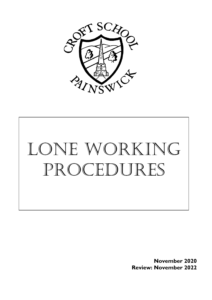



**November 2020 Review: November 2022**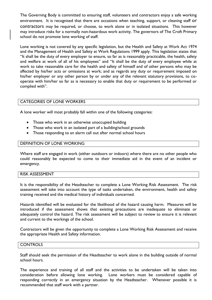The Governing Body is committed to ensuring staff, volunteers and contractors enjoy a safe working environment. It is recognised that there are occasions when teaching, support, or cleaning staff or contractors may be required, or choose, to work alone or in isolated situations. This however may introduce risks for a normally non-hazardous work activity. The governors of The Croft Primary school do not promote lone working of staff.

Lone working is not covered by any specific legislation, but the Health and Safety at Work Act 1974 and the Management of Health and Safety at Work Regulations 1999 apply. This legislation states that "It shall be the duty of every employer to ensure, so far as is reasonably practicable, the health, safety and welfare at work of all of his employees" and "It shall be the duty of every employee while at work to take reasonable care for the health and safety of himself and of other persons who may be affected by his/her acts or omissions at work; and as regards any duty or requirement imposed on his/her employer or any other person by or under any of the relevant statutory provisions, to cooperate with him/her so far as is necessary to enable that duty or requirement to be performed or complied with".

## CATEGORIES OF LONE WORKERS

A lone worker will most probably fall within one of the following categories:

- Those who work in an otherwise unoccupied building
- Those who work in an isolated part of a building/school grounds
- Those responding to an alarm call out after normal school hours

## DEFINITION OF LONE WORKING

Where staff are engaged in work (either outdoors or indoors) where there are no other people who could reasonably be expected to come to their immediate aid in the event of an incident or emergency.

## RISK ASSESSMENT

It is the responsibility of the Headteacher to complete a Lone Working Risk Assessment. The risk assessment will take into account the type of tasks undertaken, the environment, health and safety training received and the medical history of individuals concerned.

Hazards identified will be evaluated for the likelihood of the hazard causing harm. Measures will be introduced if the assessment shows that existing precautions are inadequate to eliminate or adequately control the hazard. The risk assessment will be subject to review to ensure it is relevant and current to the workings of the school.

Contractors will be given the opportunity to complete a Lone Working Risk Assessment and receive the appropriate Health and Safety information.

## **CONTROLS**

Staff should seek the permission of the Headteacher to work alone in the building outside of normal school hours.

The experience and training of all staff and the activities to be undertaken will be taken into consideration before allowing lone working. Lone workers must be considered capable of responding correctly in an emergency situation by the Headteacher. Whenever possible it is recommended that staff work with a partner.